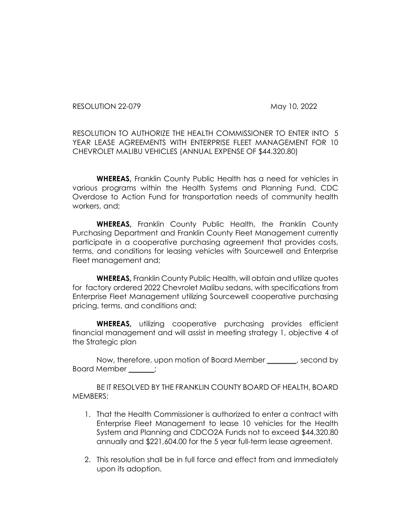RESOLUTION 22-079 May 10, 2022

RESOLUTION TO AUTHORIZE THE HEALTH COMMISSIONER TO ENTER INTO 5 YEAR LEASE AGREEMENTS WITH ENTERPRISE FLEET MANAGEMENT FOR 10 CHEVROLET MALIBU VEHICLES (ANNUAL EXPENSE OF \$44.320.80)

**WHEREAS,** Franklin County Public Health has a need for vehicles in various programs within the Health Systems and Planning Fund, CDC Overdose to Action Fund for transportation needs of community health workers, and;

**WHEREAS,** Franklin County Public Health, the Franklin County Purchasing Department and Franklin County Fleet Management currently participate in a cooperative purchasing agreement that provides costs, terms, and conditions for leasing vehicles with Sourcewell and Enterprise Fleet management and;

**WHEREAS,** Franklin County Public Health, will obtain and utilize quotes for factory ordered 2022 Chevrolet Malibu sedans, with specifications from Enterprise Fleet Management utilizing Sourcewell cooperative purchasing pricing, terms, and conditions and;

**WHEREAS,** utilizing cooperative purchasing provides efficient financial management and will assist in meeting strategy 1, objective 4 of the Strategic plan

Now, therefore, upon motion of Board Member \_\_\_\_\_\_\_\_, second by Board Member \_\_\_\_\_\_\_;

BE IT RESOLVED BY THE FRANKLIN COUNTY BOARD OF HEALTH, BOARD MEMBERS;

- 1. That the Health Commissioner is authorized to enter a contract with Enterprise Fleet Management to lease 10 vehicles for the Health System and Planning and CDCO2A Funds not to exceed \$44,320.80 annually and \$221,604.00 for the 5 year full-term lease agreement.
- 2. This resolution shall be in full force and effect from and immediately upon its adoption.